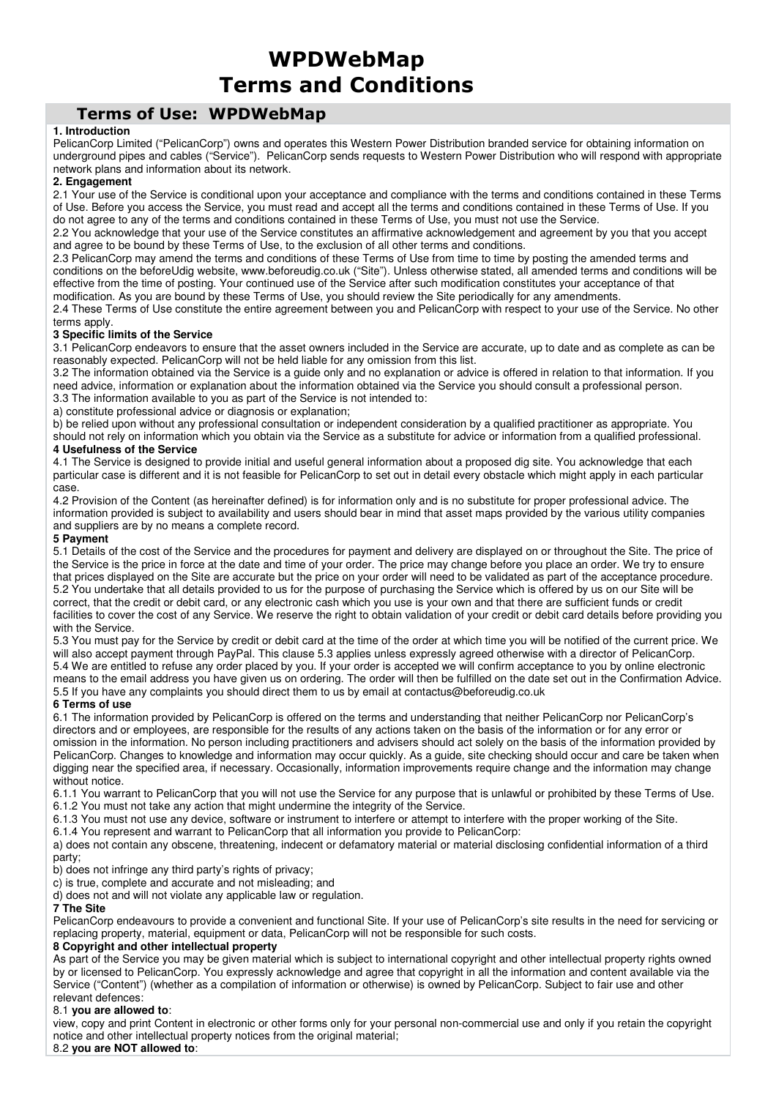# WPDWebMap Terms and Conditions

## Terms of Use: WPDWebMap

## **1. Introduction**

PelicanCorp Limited ("PelicanCorp") owns and operates this Western Power Distribution branded service for obtaining information on underground pipes and cables ("Service"). PelicanCorp sends requests to Western Power Distribution who will respond with appropriate network plans and information about its network.

## **2. Engagement**

2.1 Your use of the Service is conditional upon your acceptance and compliance with the terms and conditions contained in these Terms of Use. Before you access the Service, you must read and accept all the terms and conditions contained in these Terms of Use. If you do not agree to any of the terms and conditions contained in these Terms of Use, you must not use the Service.

2.2 You acknowledge that your use of the Service constitutes an affirmative acknowledgement and agreement by you that you accept and agree to be bound by these Terms of Use, to the exclusion of all other terms and conditions.

2.3 PelicanCorp may amend the terms and conditions of these Terms of Use from time to time by posting the amended terms and conditions on the beforeUdig website, www.beforeudig.co.uk ("Site"). Unless otherwise stated, all amended terms and conditions will be effective from the time of posting. Your continued use of the Service after such modification constitutes your acceptance of that modification. As you are bound by these Terms of Use, you should review the Site periodically for any amendments.

2.4 These Terms of Use constitute the entire agreement between you and PelicanCorp with respect to your use of the Service. No other terms apply.

## **3 Specific limits of the Service**

3.1 PelicanCorp endeavors to ensure that the asset owners included in the Service are accurate, up to date and as complete as can be reasonably expected. PelicanCorp will not be held liable for any omission from this list.

3.2 The information obtained via the Service is a guide only and no explanation or advice is offered in relation to that information. If you need advice, information or explanation about the information obtained via the Service you should consult a professional person. 3.3 The information available to you as part of the Service is not intended to:

a) constitute professional advice or diagnosis or explanation;

b) be relied upon without any professional consultation or independent consideration by a qualified practitioner as appropriate. You should not rely on information which you obtain via the Service as a substitute for advice or information from a qualified professional.

## **4 Usefulness of the Service**

4.1 The Service is designed to provide initial and useful general information about a proposed dig site. You acknowledge that each particular case is different and it is not feasible for PelicanCorp to set out in detail every obstacle which might apply in each particular case.

4.2 Provision of the Content (as hereinafter defined) is for information only and is no substitute for proper professional advice. The information provided is subject to availability and users should bear in mind that asset maps provided by the various utility companies and suppliers are by no means a complete record.

## **5 Payment**

5.1 Details of the cost of the Service and the procedures for payment and delivery are displayed on or throughout the Site. The price of the Service is the price in force at the date and time of your order. The price may change before you place an order. We try to ensure that prices displayed on the Site are accurate but the price on your order will need to be validated as part of the acceptance procedure. 5.2 You undertake that all details provided to us for the purpose of purchasing the Service which is offered by us on our Site will be correct, that the credit or debit card, or any electronic cash which you use is your own and that there are sufficient funds or credit facilities to cover the cost of any Service. We reserve the right to obtain validation of your credit or debit card details before providing you with the Service.

5.3 You must pay for the Service by credit or debit card at the time of the order at which time you will be notified of the current price. We will also accept payment through PayPal. This clause 5.3 applies unless expressly agreed otherwise with a director of PelicanCorp. 5.4 We are entitled to refuse any order placed by you. If your order is accepted we will confirm acceptance to you by online electronic means to the email address you have given us on ordering. The order will then be fulfilled on the date set out in the Confirmation Advice. 5.5 If you have any complaints you should direct them to us by email at contactus@beforeudig.co.uk

## **6 Terms of use**

6.1 The information provided by PelicanCorp is offered on the terms and understanding that neither PelicanCorp nor PelicanCorp's directors and or employees, are responsible for the results of any actions taken on the basis of the information or for any error or omission in the information. No person including practitioners and advisers should act solely on the basis of the information provided by PelicanCorp. Changes to knowledge and information may occur quickly. As a guide, site checking should occur and care be taken when digging near the specified area, if necessary. Occasionally, information improvements require change and the information may change without notice.

6.1.1 You warrant to PelicanCorp that you will not use the Service for any purpose that is unlawful or prohibited by these Terms of Use. 6.1.2 You must not take any action that might undermine the integrity of the Service.

6.1.3 You must not use any device, software or instrument to interfere or attempt to interfere with the proper working of the Site.

6.1.4 You represent and warrant to PelicanCorp that all information you provide to PelicanCorp:

a) does not contain any obscene, threatening, indecent or defamatory material or material disclosing confidential information of a third party;

b) does not infringe any third party's rights of privacy;

c) is true, complete and accurate and not misleading; and

d) does not and will not violate any applicable law or regulation.

## **7 The Site**

PelicanCorp endeavours to provide a convenient and functional Site. If your use of PelicanCorp's site results in the need for servicing or replacing property, material, equipment or data, PelicanCorp will not be responsible for such costs.

## **8 Copyright and other intellectual property**

As part of the Service you may be given material which is subject to international copyright and other intellectual property rights owned by or licensed to PelicanCorp. You expressly acknowledge and agree that copyright in all the information and content available via the Service ("Content") (whether as a compilation of information or otherwise) is owned by PelicanCorp. Subject to fair use and other relevant defences:

#### 8.1 **you are allowed to**:

view, copy and print Content in electronic or other forms only for your personal non-commercial use and only if you retain the copyright notice and other intellectual property notices from the original material; 8.2 **you are NOT allowed to**: